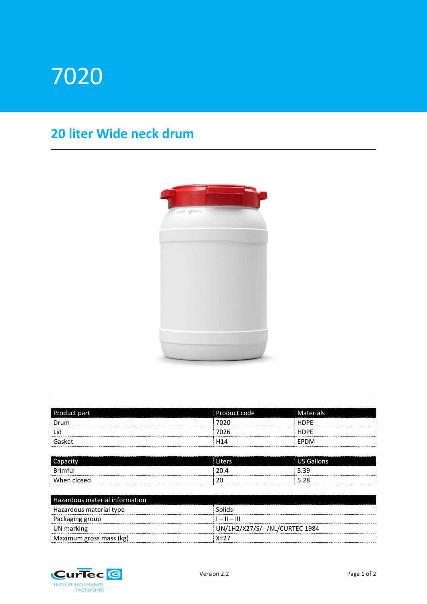# 7020

## **20 liter Wide neck drum**



| Product part | Product code    | Materials   |
|--------------|-----------------|-------------|
| Drum         | 7020            | <b>HDPE</b> |
| Lid          | 7026            | <b>HDPE</b> |
| Gasket       | H <sub>14</sub> | EPDM        |

| Capacity    | Liters              | <b>US Gallons</b> |
|-------------|---------------------|-------------------|
| Brimful     | 20                  | 5.39              |
| When closed | $\mathcal{L}$<br>۷J | າດ<br>5.Zõ        |

| Hazardous material information |                                |
|--------------------------------|--------------------------------|
| Hazardous material type        | Solids                         |
| <b>Packaging group</b>         | $1 -    -   $                  |
| UN marking                     | UN/1H2/X27/S/--/NL/CURTEC 1984 |
| Maximum gross mass (kg)        | $X=27$                         |

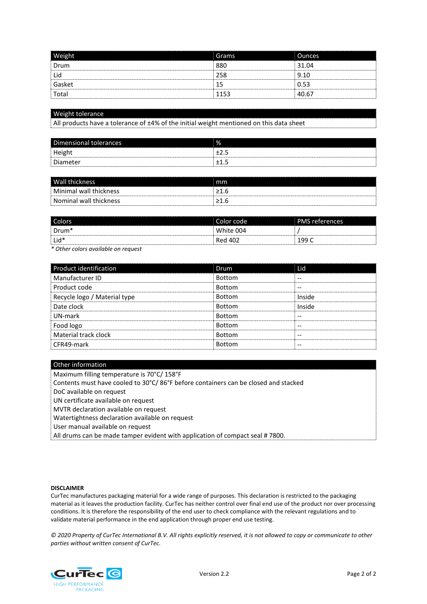| <b>Weight</b> | Grams | <b>Ounces</b> |
|---------------|-------|---------------|
| Drum          | 880   | 31.04         |
| Lid           | 258   | 9.10          |
| Gasket        | 15    | 0.53          |
| Total         | 1153  | 40.67         |

### Weight tolerance

All products have a tolerance of ±4% of the initial weight mentioned on this data sheet

| Dimensional tolerances | % |
|------------------------|---|
| Height                 |   |
| Diameter               |   |

| <b>Wall thickness</b>  | mm |
|------------------------|----|
| Minimal wall thickness |    |
| Nominal wall thickness |    |

| Colors            | Color code | <b>PMS</b> references |
|-------------------|------------|-----------------------|
| Drum <sup>*</sup> | White 004  |                       |
| $ $ Lid*          | Red 402    | 199                   |

*\* Other colors available on request*

| Product identification       | <b>Drum</b>   | Lid    |
|------------------------------|---------------|--------|
| Manufacturer ID              | <b>Bottom</b> |        |
| Product code                 | <b>Bottom</b> | --     |
| Recycle logo / Material type | <b>Bottom</b> | Inside |
| Date clock                   | <b>Bottom</b> | Inside |
| UN-mark                      | <b>Bottom</b> |        |
| Food logo                    | <b>Bottom</b> | --     |
| Material track clock         | <b>Bottom</b> |        |
| CFR49-mark                   | <b>Bottom</b> |        |

### Other information

Maximum filling temperature is 70°C/ 158°F

Contents must have cooled to 30°C/ 86°F before containers can be closed and stacked

DoC available on request

UN certificate available on request

MVTR declaration available on request

Watertightness declaration available on request

User manual available on request

All drums can be made tamper evident with application of compact seal # 7800.

#### **DISCLAIMER**

CurTec manufactures packaging material for a wide range of purposes. This declaration is restricted to the packaging material as it leaves the production facility. CurTec has neither control over final end use of the product nor over processing conditions. It is therefore the responsibility of the end user to check compliance with the relevant regulations and to validate material performance in the end application through proper end use testing.

*© 2020 Property of CurTec International B.V. All rights explicitly reserved, it is not allowed to copy or communicate to other parties without written consent of CurTec.*